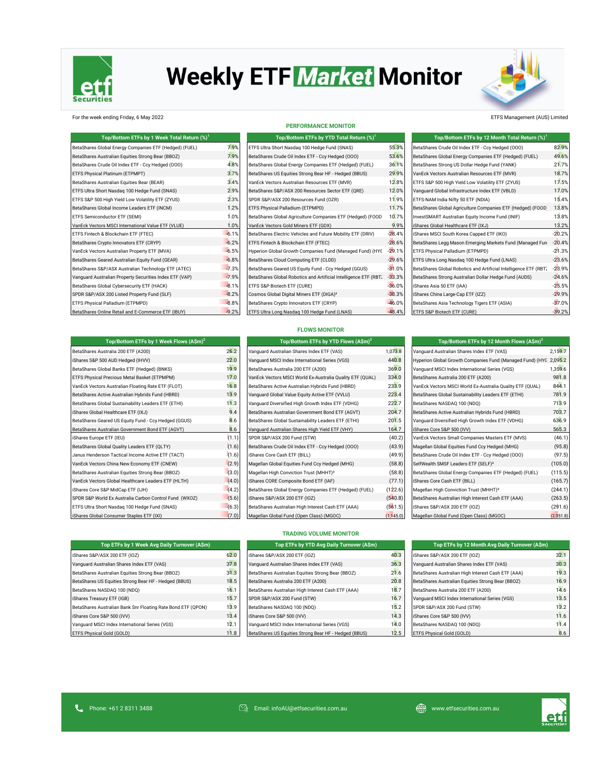

# **Weekly ETF Market Monitor**



For the week ending Friday, 6 May 2022 ETFS Management (AUS) Limited

| Top/Bottom ETFs by 1 Week Total Return (%) <sup>1</sup> |         |
|---------------------------------------------------------|---------|
| BetaShares Global Energy Companies ETF (Hedged) (FUEL)  | 7.9%    |
| BetaShares Australian Equities Strong Bear (BBOZ)       | 7.9%    |
| BetaShares Crude Oil Index ETF - Ccy Hedged (000)       | 4.8%    |
| ETFS Physical Platinum (ETPMPT)                         | 3.7%    |
| BetaShares Australian Equities Bear (BEAR)              | 3.4%    |
| ETFS Ultra Short Nasdag 100 Hedge Fund (SNAS)           | 2.9%    |
| ETFS S&P 500 High Yield Low Volatility ETF (ZYUS)       | 2.3%    |
| BetaShares Global Income Leaders ETF (INCM)             | 1.2%    |
| ETFS Semiconductor ETF (SEMI)                           | 1.0%    |
| VanEck Vectors MSCI International Value ETF (VLUE)      | 1.0%    |
| ETFS Fintech & Blockchain ETF (FTEC)                    | $-6.1%$ |
| BetaShares Crypto Innovators ETF (CRYP)                 | $-6.2%$ |
| VanEck Vectors Australian Property ETF (MVA)            | $-6.5%$ |
| BetaShares Geared Australian Equity Fund (GEAR)         | $-6.8%$ |
| BetaShares S&P/ASX Australian Technology ETF (ATEC)     | $-7.3%$ |
| Vanquard Australian Property Securities Index ETF (VAP) | $-7.9%$ |
| BetaShares Global Cybersecurity ETF (HACK)              | $-8.1%$ |
| SPDR S&P/ASX 200 Listed Property Fund (SLF)             | $-8.2%$ |
| ETFS Physical Palladium (ETPMPD)                        | $-8.8%$ |
| BetaShares Online Retail and E-Commerce ETF (IBUY)      | $-9.2%$ |

#### **PERFORMANCE MONITOR**

| Top/Bottom ETFs by 1 Week Total Return (%) <sup>1</sup> |         | Top/Bottom ETFs by YTD Total Return (%) <sup>1</sup>             |          | Top/Bottom ETFs by 12 Month Total Return (%) <sup>1</sup>        |          |
|---------------------------------------------------------|---------|------------------------------------------------------------------|----------|------------------------------------------------------------------|----------|
| BetaShares Global Energy Companies ETF (Hedged) (FUEL)  | 7.9%    | ETFS Ultra Short Nasdaq 100 Hedge Fund (SNAS)                    | 55.3%    | BetaShares Crude Oil Index ETF - Ccy Hedged (000)                | 82.9%    |
| BetaShares Australian Equities Strong Bear (BBOZ)       | 7.9%    | BetaShares Crude Oil Index ETF - Ccy Hedged (000)                | 53.6%    | BetaShares Global Energy Companies ETF (Hedged) (FUEL)           | 49.6%    |
| BetaShares Crude Oil Index ETF - Ccy Hedged (000)       | 4.8%    | BetaShares Global Energy Companies ETF (Hedged) (FUEL)           | 36.1%    | BetaShares Strong US Dollar Hedge Fund (YANK)                    | 21.7%    |
| ETFS Physical Platinum (ETPMPT)                         | 3.7%    | BetaShares US Equities Strong Bear HF - Hedged (BBUS)            | 29.9%    | VanEck Vectors Australian Resources ETF (MVR)                    | 18.7%    |
| BetaShares Australian Equities Bear (BEAR)              | 3.4%    | VanEck Vectors Australian Resources ETF (MVR)                    | 12.8%    | ETFS S&P 500 High Yield Low Volatility ETF (ZYUS)                | 17.5%    |
| ETFS Ultra Short Nasdaq 100 Hedge Fund (SNAS)           | 2.9%    | BetaShares S&P/ASX 200 Resources Sector ETF (QRE)                | 12.0%    | Vanquard Global Infrastructure Index ETF (VBLD)                  | 17.0%    |
| ETFS S&P 500 High Yield Low Volatility ETF (ZYUS)       | 2.3%    | SPDR S&P/ASX 200 Resources Fund (OZR)                            | 11.9%    | ETFS-NAM India Nifty 50 ETF (NDIA)                               | 15.4%    |
| BetaShares Global Income Leaders ETF (INCM)             | 1.2%    | ETFS Physical Palladium (ETPMPD)                                 | 11.7%    | BetaShares Global Agriculture Companies ETF (Hedged) (FOOD       | 13.8%    |
| ETFS Semiconductor ETF (SEMI)                           | 1.0%    | BetaShares Global Agriculture Companies ETF (Hedged) (FOOD       | 10.7%    | InvestSMART Australian Equity Income Fund (INIF)                 | 13.8%    |
| VanEck Vectors MSCI International Value ETF (VLUE)      | 1.0%    | VanEck Vectors Gold Miners ETF (GDX)                             | 9.9%     | iShares Global Healthcare ETF (IXJ)                              | 13.2%    |
| ETFS Fintech & Blockchain ETF (FTEC)                    | $-6.1%$ | BetaShares Electric Vehicles and Future Mobility ETF (DRIV)      | $-28.4%$ | iShares MSCI South Korea Capped ETF (IKO)                        | $-20.2%$ |
| BetaShares Crypto Innovators ETF (CRYP)                 | $-6.2%$ | ETFS Fintech & Blockchain ETF (FTEC)                             | $-28.6%$ | BetaShares Legg Mason Emerging Markets Fund (Managed Fur         | $-20.4%$ |
| VanEck Vectors Australian Property ETF (MVA)            | $-6.5%$ | Hyperion Global Growth Companies Fund (Managed Fund) (HYC        | $-29.1%$ | ETFS Physical Palladium (ETPMPD)                                 | $-21.3%$ |
| BetaShares Geared Australian Equity Fund (GEAR)         | $-6.8%$ | BetaShares Cloud Computing ETF (CLDD)                            | $-29.6%$ | ETFS Ultra Long Nasdag 100 Hedge Fund (LNAS)                     | $-23.6%$ |
| BetaShares S&P/ASX Australian Technology ETF (ATEC)     | $-7.3%$ | BetaShares Geared US Equity Fund - Ccy Hedged (GGUS)             | $-31.0%$ | BetaShares Global Robotics and Artificial Intelligence ETF (RBT) | $-23.9%$ |
| Vanquard Australian Property Securities Index ETF (VAP) | $-7.9%$ | BetaShares Global Robotics and Artificial Intelligence ETF (RBT) | $-33.3%$ | BetaShares Strong Australian Dollar Hedge Fund (AUDS)            | $-24.6%$ |
| BetaShares Global Cybersecurity ETF (HACK)              | $-8.1%$ | ETFS S&P Biotech ETF (CURE)                                      | $-36.0%$ | iShares Asia 50 ETF (IAA)                                        | $-25.5%$ |
| SPDR S&P/ASX 200 Listed Property Fund (SLF)             | $-8.2%$ | Cosmos Global Digital Miners ETF (DIGA) <sup>3</sup>             | $-38.3%$ | iShares China Large-Cap ETF (IZZ)                                | $-29.9%$ |
| ETFS Physical Palladium (ETPMPD)                        | $-8.8%$ | BetaShares Crypto Innovators ETF (CRYP)                          | $-46.0%$ | BetaShares Asia Technology Tigers ETF (ASIA)                     | $-37.0%$ |
| BetaShares Online Retail and E-Commerce ETF (IBUY)      | $-9.2%$ | ETFS Ultra Long Nasdag 100 Hedge Fund (LNAS)                     | $-48.4%$ | ETFS S&P Biotech ETF (CURE)                                      | $-39.2%$ |

### **FLOWS MONITOR**

| Top/Bottom ETFs by 1 Week Flows (A\$m) <sup>2</sup>    | Top/Bottom ETFs by YTD Flows (A\$m) <sup>2</sup> | Top/Bottom ETFs by 12 Month Flows (A\$m) <sup>2</sup>     |           |                                                           |           |
|--------------------------------------------------------|--------------------------------------------------|-----------------------------------------------------------|-----------|-----------------------------------------------------------|-----------|
| BetaShares Australia 200 ETF (A200)                    | 26.2                                             | Vanguard Australian Shares Index ETF (VAS)                | 1,073.8   | Vanguard Australian Shares Index ETF (VAS)                | 2,159.7   |
| iShares S&P 500 AUD Hedged (IHVV)                      | 22.0                                             | Vanquard MSCI Index International Series (VGS)            | 440.8     | Hyperion Global Growth Companies Fund (Managed Fund) (HYC | 2,095.2   |
| BetaShares Global Banks ETF (Hedged) (BNKS)            | 19.9                                             | BetaShares Australia 200 ETF (A200)                       | 369.0     | Vanquard MSCI Index International Series (VGS)            | 1,359.6   |
| ETFS Physical Precious Metal Basket (ETPMPM)           | 17.0                                             | VanEck Vectors MSCI World Ex-Australia Quality ETF (QUAL) | 334.0     | BetaShares Australia 200 ETF (A200)                       | 981.8     |
| VanEck Vectors Australian Floating Rate ETF (FLOT)     | 16.8                                             | BetaShares Active Australian Hybrids Fund (HBRD)          | 233.9     | VanEck Vectors MSCI World Ex-Australia Quality ETF (QUAL) | 844.1     |
| BetaShares Active Australian Hybrids Fund (HBRD)       | 13.9                                             | Vanguard Global Value Equity Active ETF (VVLU)            | 223.4     | BetaShares Global Sustainability Leaders ETF (ETHI)       | 781.9     |
| BetaShares Global Sustainability Leaders ETF (ETHI)    | 11.3                                             | Vanguard Diversified High Growth Index ETF (VDHG)         | 222.7     | BetaShares NASDAQ 100 (NDQ)                               | 713.9     |
| iShares Global Healthcare ETF (IXJ)                    | 9.4                                              | BetaShares Australian Government Bond ETF (AGVT)          | 204.7     | BetaShares Active Australian Hybrids Fund (HBRD)          | 703.7     |
| BetaShares Geared US Equity Fund - Ccy Hedged (GGUS)   | 8.6                                              | BetaShares Global Sustainability Leaders ETF (ETHI)       | 201.5     | Vanguard Diversified High Growth Index ETF (VDHG)         | 636.9     |
| BetaShares Australian Government Bond ETF (AGVT)       | 8.6                                              | Vanquard Australian Shares High Yield ETF (VHY)           | 164.7     | iShares Core S&P 500 (IVV)                                | 565.3     |
| iShares Europe ETF (IEU)                               | (1.1)                                            | SPDR S&P/ASX 200 Fund (STW)                               | (40.2)    | VanEck Vectors Small Companies Masters ETF (MVS)          | (46.1)    |
| BetaShares Global Quality Leaders ETF (QLTY)           | (1.6)                                            | BetaShares Crude Oil Index ETF - Ccy Hedged (000)         | (43.9)    | Magellan Global Equities Fund Ccy Hedged (MHG)            | (95.8)    |
| Janus Henderson Tactical Income Active ETF (TACT)      | (1.6)                                            | iShares Core Cash ETF (BILL)                              | (49.9)    | BetaShares Crude Oil Index ETF - Ccy Hedged (000)         | (97.5)    |
| VanEck Vectors China New Economy ETF (CNEW)            | (2.9)                                            | Magellan Global Equities Fund Ccy Hedged (MHG)            | (58.8)    | SelfWealth SMSF Leaders ETF (SELF) <sup>3</sup>           | (105.0)   |
| BetaShares Australian Equities Strong Bear (BBOZ)      | (3.0)                                            | Magellan High Conviction Trust (MHHT) <sup>3</sup>        | (58.8)    | BetaShares Global Energy Companies ETF (Hedged) (FUEL)    | (115.5)   |
| VanEck Vectors Global Healthcare Leaders ETF (HLTH)    | (4.0)                                            | iShares CORE Composite Bond ETF (IAF)                     | (77.1)    | iShares Core Cash ETF (BILL)                              | (165.7)   |
| iShares Core S&P MidCap ETF (IJH)                      | (4.2)                                            | BetaShares Global Energy Companies ETF (Hedged) (FUEL)    | (122.6)   | Magellan High Conviction Trust (MHHT) <sup>3</sup>        | (244.1)   |
| SPDR S&P World Ex Australia Carbon Control Fund (WXOZ) | (5.6)                                            | iShares S&P/ASX 200 ETF (IOZ)                             | (540.8)   | BetaShares Australian High Interest Cash ETF (AAA)        | (263.5)   |
| ETFS Ultra Short Nasdaq 100 Hedge Fund (SNAS)          | (6.3)                                            | BetaShares Australian High Interest Cash ETF (AAA)        | (561.5)   | iShares S&P/ASX 200 ETF (IOZ)                             | (291.6)   |
| iShares Global Consumer Staples ETF (IXI)              | (7.0)                                            | Magellan Global Fund (Open Class) (MGOC)                  | (1.145.0) | Magellan Global Fund (Open Class) (MGOC)                  | (2,351.8) |

| <b>FLOWS MONITOR</b>                                   |       |                                                           |         |                                                           |         |  |
|--------------------------------------------------------|-------|-----------------------------------------------------------|---------|-----------------------------------------------------------|---------|--|
| Top/Bottom ETFs by 1 Week Flows $(A\sin^2)$            |       | Top/Bottom ETFs by YTD Flows (A\$m) <sup>2</sup>          |         | Top/Bottom ETFs by 12 Month Flows $(A\sin)^2$             |         |  |
| BetaShares Australia 200 ETF (A200)                    | 26.2  | Vanguard Australian Shares Index ETF (VAS)                | 1,073.8 | Vanguard Australian Shares Index ETF (VAS)                | 2,159.7 |  |
| Shares S&P 500 AUD Hedged (IHVV)                       | 22.0  | Vanquard MSCI Index International Series (VGS)            | 440.8   | Hyperion Global Growth Companies Fund (Managed Fund) (HYC | 2,095.2 |  |
| BetaShares Global Banks ETF (Hedged) (BNKS)            | 19.9  | BetaShares Australia 200 ETF (A200)                       | 369.0   | Vanquard MSCI Index International Series (VGS)            | 1,359.6 |  |
| ETFS Physical Precious Metal Basket (ETPMPM)           | 17.0  | VanEck Vectors MSCI World Ex-Australia Quality ETF (QUAL) | 334.0   | BetaShares Australia 200 ETF (A200)                       | 981.8   |  |
| VanEck Vectors Australian Floating Rate ETF (FLOT)     | 16.8  | BetaShares Active Australian Hybrids Fund (HBRD)          | 233.9   | VanEck Vectors MSCI World Ex-Australia Quality ETF (QUAL) | 844.1   |  |
| BetaShares Active Australian Hybrids Fund (HBRD)       | 13.9  | Vanquard Global Value Equity Active ETF (VVLU)            | 223.4   | BetaShares Global Sustainability Leaders ETF (ETHI)       | 781.9   |  |
| BetaShares Global Sustainability Leaders ETF (ETHI)    | 11.3  | Vanguard Diversified High Growth Index ETF (VDHG)         | 222.7   | BetaShares NASDAQ 100 (NDQ)                               | 713.9   |  |
| Shares Global Healthcare ETF (IXJ)                     | 9.4   | BetaShares Australian Government Bond ETF (AGVT)          | 204.7   | BetaShares Active Australian Hybrids Fund (HBRD)          | 703.7   |  |
| BetaShares Geared US Equity Fund - Ccy Hedged (GGUS)   | 8.6   | BetaShares Global Sustainability Leaders ETF (ETHI)       | 201.5   | Vanguard Diversified High Growth Index ETF (VDHG)         | 636.9   |  |
| BetaShares Australian Government Bond ETF (AGVT)       | 8.6   | Vanquard Australian Shares High Yield ETF (VHY)           | 164.7   | iShares Core S&P 500 (IVV)                                | 565.3   |  |
| iShares Europe ETF (IEU)                               | (1.1) | SPDR S&P/ASX 200 Fund (STW)                               | (40.2)  | VanEck Vectors Small Companies Masters ETF (MVS)          | (46.1)  |  |
| BetaShares Global Quality Leaders ETF (QLTY)           | (1.6) | BetaShares Crude Oil Index ETF - Ccy Hedged (000)         | (43.9)  | Magellan Global Equities Fund Ccy Hedged (MHG)            | (95.8)  |  |
| Janus Henderson Tactical Income Active ETF (TACT)      | (1.6) | iShares Core Cash ETF (BILL)                              | (49.9)  | BetaShares Crude Oil Index ETF - Ccy Hedged (000)         | (97.5)  |  |
| VanEck Vectors China New Economy ETF (CNEW)            | (2.9) | Magellan Global Equities Fund Ccy Hedged (MHG)            | (58.8)  | SelfWealth SMSF Leaders ETF (SELF) <sup>3</sup>           | (105.0) |  |
| BetaShares Australian Equities Strong Bear (BBOZ)      | (3.0) | Magellan High Conviction Trust (MHHT) <sup>3</sup>        | (58.8)  | BetaShares Global Energy Companies ETF (Hedged) (FUEL)    | (115.5) |  |
| VanEck Vectors Global Healthcare Leaders ETF (HLTH)    | (4.0) | iShares CORE Composite Bond ETF (IAF)                     | (77.1)  | iShares Core Cash ETF (BILL)                              | (165.7) |  |
| Shares Core S&P MidCap ETF (IJH)                       | (4.2) | BetaShares Global Energy Companies ETF (Hedged) (FUEL)    | (122.6) | Magellan High Conviction Trust (MHHT) <sup>3</sup>        | (244.1) |  |
| SPDR S&P World Ex Australia Carbon Control Fund (WXOZ) | (5.6) | iShares S&P/ASX 200 ETF (IOZ)                             | (540.8) | BetaShares Australian High Interest Cash ETF (AAA)        | (263.5) |  |
| ETFS Ultra Short Nasdag 100 Hedge Fund (SNAS)          | (6.3) | BetaShares Australian High Interest Cash ETF (AAA)        | (561.5) | iShares S&P/ASX 200 ETF (IOZ)                             | (291.6) |  |
|                                                        |       |                                                           |         |                                                           |         |  |

#### **TRADING VOLUME MONITOR**

| Top ETFs by 1 Week Avg Daily Turnover (A\$m)                 |      | Top ETFs by YTD Avg Daily Turnover (A\$m)             |      | Top ETFs by 12 Month Avg Daily Turnover (A\$m)     |      |
|--------------------------------------------------------------|------|-------------------------------------------------------|------|----------------------------------------------------|------|
| iShares S&P/ASX 200 ETF (IOZ)                                | 62.0 | iShares S&P/ASX 200 ETF (IOZ)                         | 40.3 | iShares S&P/ASX 200 ETF (IOZ)                      | 32.1 |
| Vanquard Australian Shares Index ETF (VAS)                   | 37.8 | Vanquard Australian Shares Index ETF (VAS)            | 36.3 | Vanquard Australian Shares Index ETF (VAS)         | 30.3 |
| BetaShares Australian Equities Strong Bear (BBOZ)            | 31.3 | BetaShares Australian Equities Strong Bear (BBOZ)     | 21.6 | BetaShares Australian High Interest Cash ETF (AAA) | 19.3 |
| BetaShares US Equities Strong Bear HF - Hedged (BBUS)        | 18.5 | BetaShares Australia 200 ETF (A200)                   | 20.8 | BetaShares Australian Equities Strong Bear (BBOZ)  | 16.9 |
| BetaShares NASDAQ 100 (NDQ)                                  | 16.1 | BetaShares Australian High Interest Cash ETF (AAA)    | 18.7 | BetaShares Australia 200 ETF (A200)                | 14.6 |
| iShares Treasury ETF (IGB)                                   | 15.7 | SPDR S&P/ASX 200 Fund (STW)                           | 16.7 | Vanquard MSCI Index International Series (VGS)     | 13.5 |
| BetaShares Australian Bank Snr Floating Rate Bond ETF (QPON) | 13.9 | BetaShares NASDAQ 100 (NDQ)                           | 15.2 | SPDR S&P/ASX 200 Fund (STW)                        | 13.2 |
| iShares Core S&P 500 (IVV)                                   | 13.4 | iShares Core S&P 500 (IVV)                            | 14.3 | iShares Core S&P 500 (IVV)                         | 11.6 |
| Vanquard MSCI Index International Series (VGS)               | 12.1 | Vanquard MSCI Index International Series (VGS)        | 14.0 | BetaShares NASDAQ 100 (NDQ)                        | 11.4 |
| ETFS Physical Gold (GOLD)                                    | 11.8 | BetaShares US Equities Strong Bear HF - Hedged (BBUS) | 12.5 | ETFS Physical Gold (GOLD)                          | 8.6  |